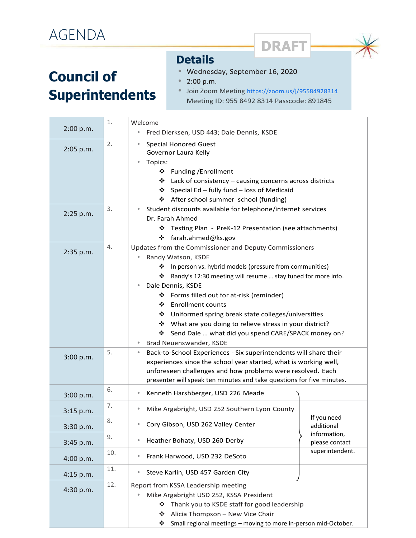## **Council of Superintendents**

## **Details**

- Wednesday, September 16, 2020  $\bullet$
- 2:00 p.m.
- Join Zoom Meeting https://zoom.us/j/95584928314  $\bullet$ Meeting ID: 955 8492 8314 Passcode: 891845

**DRAFT**

|           | 1.  | Welcome                                                                                                                                                                                                                                                                                                                                                                                                                                                                                                              |
|-----------|-----|----------------------------------------------------------------------------------------------------------------------------------------------------------------------------------------------------------------------------------------------------------------------------------------------------------------------------------------------------------------------------------------------------------------------------------------------------------------------------------------------------------------------|
| 2:00 p.m. |     | Fred Dierksen, USD 443; Dale Dennis, KSDE                                                                                                                                                                                                                                                                                                                                                                                                                                                                            |
| 2:05 p.m. | 2.  | <b>Special Honored Guest</b><br>۰<br>Governor Laura Kelly<br>Topics:<br>❖ Funding /Enrollment<br>❖ Lack of consistency – causing concerns across districts<br>❖ Special Ed - fully fund - loss of Medicaid<br>❖ After school summer school (funding)                                                                                                                                                                                                                                                                 |
| 2:25 p.m. | 3.  | Student discounts available for telephone/internet services<br>Dr. Farah Ahmed<br>Testing Plan - PreK-12 Presentation (see attachments)<br>❖<br>farah.ahmed@ks.gov<br>❖                                                                                                                                                                                                                                                                                                                                              |
| 2:35 p.m. | 4.  | Updates from the Commissioner and Deputy Commissioners<br>Randy Watson, KSDE<br>In person vs. hybrid models (pressure from communities)<br>❖<br>Randy's 12:30 meeting will resume  stay tuned for more info.<br>❖<br>Dale Dennis, KSDE<br>❖ Forms filled out for at-risk (reminder)<br>❖ Enrollment counts<br>❖ Uniformed spring break state colleges/universities<br>❖ What are you doing to relieve stress in your district?<br>Send Dale  what did you spend CARE/SPACK money on?<br>❖<br>Brad Neuenswander, KSDE |
| 3:00 p.m. | 5.  | Back-to-School Experiences - Six superintendents will share their<br>$\bullet$<br>experiences since the school year started, what is working well,<br>unforeseen challenges and how problems were resolved. Each<br>presenter will speak ten minutes and take questions for five minutes.                                                                                                                                                                                                                            |
| 3:00 p.m. | 6.  | Kenneth Harshberger, USD 226 Meade<br>۰                                                                                                                                                                                                                                                                                                                                                                                                                                                                              |
| 3:15 p.m. | 7.  | Mike Argabright, USD 252 Southern Lyon County<br>۰                                                                                                                                                                                                                                                                                                                                                                                                                                                                   |
| 3:30 p.m. | 8.  | If you need<br>Cory Gibson, USD 262 Valley Center<br>additional                                                                                                                                                                                                                                                                                                                                                                                                                                                      |
| 3:45 p.m. | 9.  | information,<br>Heather Bohaty, USD 260 Derby<br>please contact                                                                                                                                                                                                                                                                                                                                                                                                                                                      |
| 4:00 p.m. | 10. | superintendent.<br>Frank Harwood, USD 232 DeSoto<br>۰                                                                                                                                                                                                                                                                                                                                                                                                                                                                |
| 4:15 p.m. | 11. | Steve Karlin, USD 457 Garden City<br>۰                                                                                                                                                                                                                                                                                                                                                                                                                                                                               |
| 4:30 p.m. | 12. | Report from KSSA Leadership meeting<br>Mike Argabright USD 252, KSSA President<br>Thank you to KSDE staff for good leadership<br>❖<br>❖<br>Alicia Thompson - New Vice Chair<br>❖<br>Small regional meetings - moving to more in-person mid-October.                                                                                                                                                                                                                                                                  |